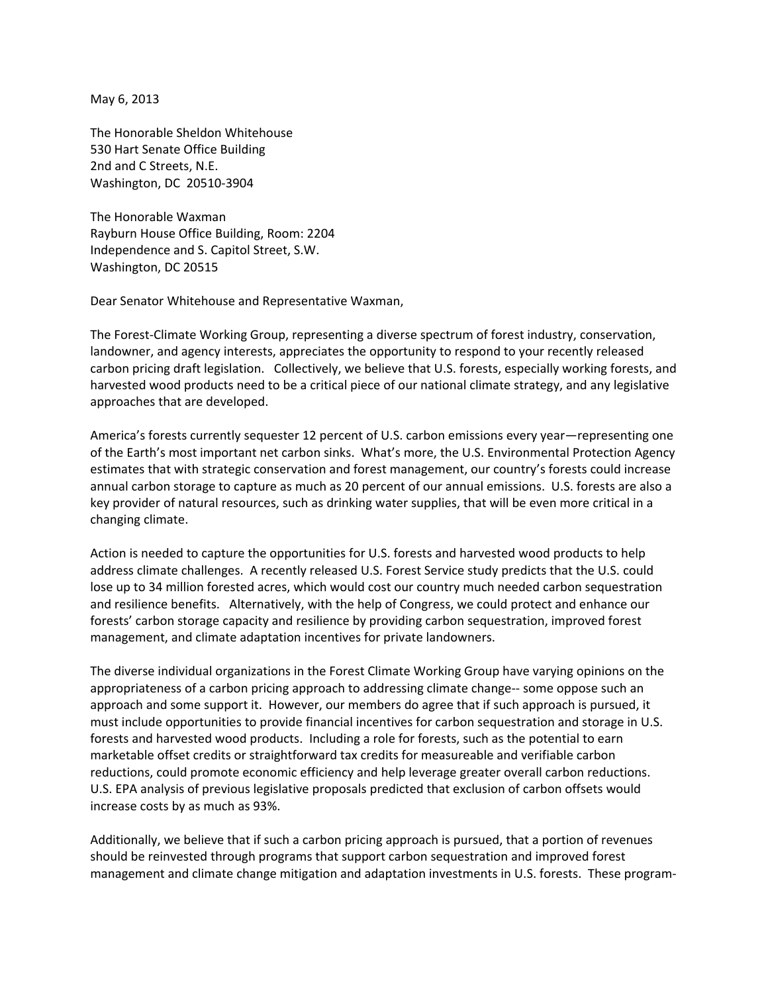May 6, 2013

The Honorable Sheldon Whitehouse 530 Hart Senate Office Building 2nd and C Streets, N.E. Washington, DC 20510‐3904

The Honorable Waxman Rayburn House Office Building, Room: 2204 Independence and S. Capitol Street, S.W. Washington, DC 20515

Dear Senator Whitehouse and Representative Waxman,

The Forest‐Climate Working Group, representing a diverse spectrum of forest industry, conservation, landowner, and agency interests, appreciates the opportunity to respond to your recently released carbon pricing draft legislation. Collectively, we believe that U.S. forests, especially working forests, and harvested wood products need to be a critical piece of our national climate strategy, and any legislative approaches that are developed.

America's forests currently sequester 12 percent of U.S. carbon emissions every year—representing one of the Earth's most important net carbon sinks. What's more, the U.S. Environmental Protection Agency estimates that with strategic conservation and forest management, our country's forests could increase annual carbon storage to capture as much as 20 percent of our annual emissions. U.S. forests are also a key provider of natural resources, such as drinking water supplies, that will be even more critical in a changing climate.

Action is needed to capture the opportunities for U.S. forests and harvested wood products to help address climate challenges. A recently released U.S. Forest Service study predicts that the U.S. could lose up to 34 million forested acres, which would cost our country much needed carbon sequestration and resilience benefits. Alternatively, with the help of Congress, we could protect and enhance our forests' carbon storage capacity and resilience by providing carbon sequestration, improved forest management, and climate adaptation incentives for private landowners.

The diverse individual organizations in the Forest Climate Working Group have varying opinions on the appropriateness of a carbon pricing approach to addressing climate change-- some oppose such an approach and some support it. However, our members do agree that if such approach is pursued, it must include opportunities to provide financial incentives for carbon sequestration and storage in U.S. forests and harvested wood products. Including a role for forests, such as the potential to earn marketable offset credits or straightforward tax credits for measureable and verifiable carbon reductions, could promote economic efficiency and help leverage greater overall carbon reductions. U.S. EPA analysis of previous legislative proposals predicted that exclusion of carbon offsets would increase costs by as much as 93%.

Additionally, we believe that if such a carbon pricing approach is pursued, that a portion of revenues should be reinvested through programs that support carbon sequestration and improved forest management and climate change mitigation and adaptation investments in U.S. forests. These program‐